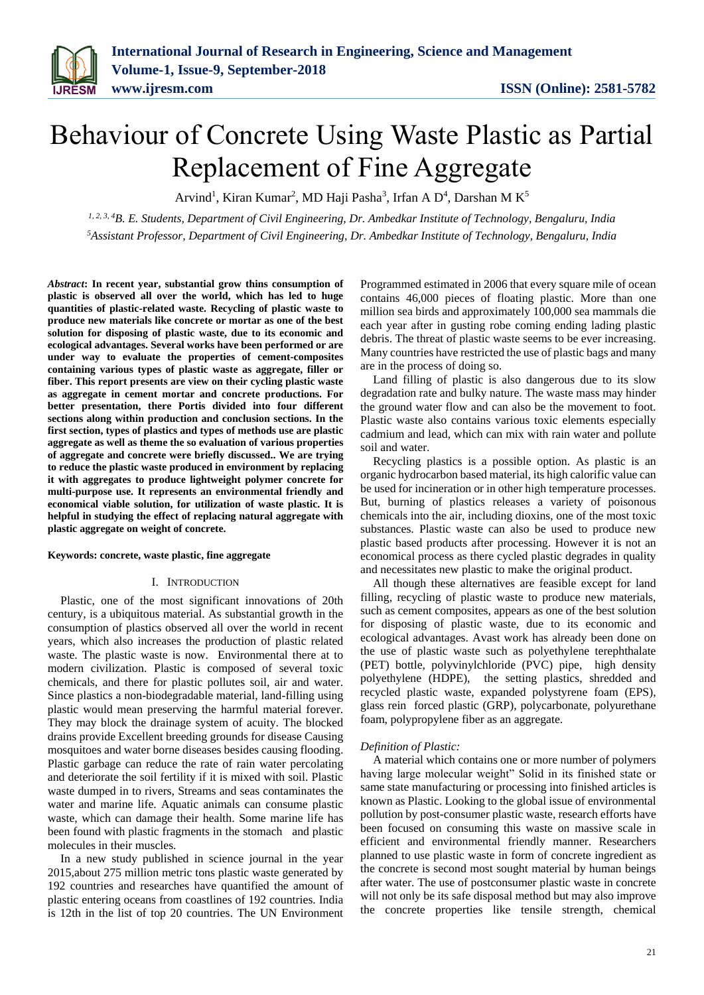# Behaviour of Concrete Using Waste Plastic as Partial Replacement of Fine Aggregate

Arvind<sup>1</sup>, Kiran Kumar<sup>2</sup>, MD Haji Pasha<sup>3</sup>, Irfan A D<sup>4</sup>, Darshan M K<sup>5</sup>

*1, 2, 3, 4B. E. Students, Department of Civil Engineering, Dr. Ambedkar Institute of Technology, Bengaluru, India <sup>5</sup>Assistant Professor, Department of Civil Engineering, Dr. Ambedkar Institute of Technology, Bengaluru, India*

*Abstract***: In recent year, substantial grow thins consumption of plastic is observed all over the world, which has led to huge quantities of plastic-related waste. Recycling of plastic waste to produce new materials like concrete or mortar as one of the best solution for disposing of plastic waste, due to its economic and ecological advantages. Several works have been performed or are under way to evaluate the properties of cement-composites containing various types of plastic waste as aggregate, filler or fiber. This report presents are view on their cycling plastic waste as aggregate in cement mortar and concrete productions. For better presentation, there Portis divided into four different sections along within production and conclusion sections. In the first section, types of plastics and types of methods use are plastic aggregate as well as theme the so evaluation of various properties of aggregate and concrete were briefly discussed.. We are trying to reduce the plastic waste produced in environment by replacing it with aggregates to produce lightweight polymer concrete for multi-purpose use. It represents an environmental friendly and economical viable solution, for utilization of waste plastic. It is helpful in studying the effect of replacing natural aggregate with plastic aggregate on weight of concrete.**

#### **Keywords: concrete, waste plastic, fine aggregate**

#### I. INTRODUCTION

Plastic, one of the most significant innovations of 20th century, is a ubiquitous material. As substantial growth in the consumption of plastics observed all over the world in recent years, which also increases the production of plastic related waste. The plastic waste is now. Environmental there at to modern civilization. Plastic is composed of several toxic chemicals, and there for plastic pollutes soil, air and water. Since plastics a non-biodegradable material, land-filling using plastic would mean preserving the harmful material forever. They may block the drainage system of acuity. The blocked drains provide Excellent breeding grounds for disease Causing mosquitoes and water borne diseases besides causing flooding. Plastic garbage can reduce the rate of rain water percolating and deteriorate the soil fertility if it is mixed with soil. Plastic waste dumped in to rivers, Streams and seas contaminates the water and marine life. Aquatic animals can consume plastic waste, which can damage their health. Some marine life has been found with plastic fragments in the stomach and plastic molecules in their muscles.

In a new study published in science journal in the year 2015,about 275 million metric tons plastic waste generated by 192 countries and researches have quantified the amount of plastic entering oceans from coastlines of 192 countries. India is 12th in the list of top 20 countries. The UN Environment Programmed estimated in 2006 that every square mile of ocean contains 46,000 pieces of floating plastic. More than one million sea birds and approximately 100,000 sea mammals die each year after in gusting robe coming ending lading plastic debris. The threat of plastic waste seems to be ever increasing. Many countries have restricted the use of plastic bags and many are in the process of doing so.

Land filling of plastic is also dangerous due to its slow degradation rate and bulky nature. The waste mass may hinder the ground water flow and can also be the movement to foot. Plastic waste also contains various toxic elements especially cadmium and lead, which can mix with rain water and pollute soil and water.

Recycling plastics is a possible option. As plastic is an organic hydrocarbon based material, its high calorific value can be used for incineration or in other high temperature processes. But, burning of plastics releases a variety of poisonous chemicals into the air, including dioxins, one of the most toxic substances. Plastic waste can also be used to produce new plastic based products after processing. However it is not an economical process as there cycled plastic degrades in quality and necessitates new plastic to make the original product.

All though these alternatives are feasible except for land filling, recycling of plastic waste to produce new materials, such as cement composites, appears as one of the best solution for disposing of plastic waste, due to its economic and ecological advantages. Avast work has already been done on the use of plastic waste such as polyethylene terephthalate (PET) bottle, polyvinylchloride (PVC) pipe, high density polyethylene (HDPE), the setting plastics, shredded and recycled plastic waste, expanded polystyrene foam (EPS), glass rein forced plastic (GRP), polycarbonate, polyurethane foam, polypropylene fiber as an aggregate.

#### *Definition of Plastic:*

A material which contains one or more number of polymers having large molecular weight" Solid in its finished state or same state manufacturing or processing into finished articles is known as Plastic. Looking to the global issue of environmental pollution by post-consumer plastic waste, research efforts have been focused on consuming this waste on massive scale in efficient and environmental friendly manner. Researchers planned to use plastic waste in form of concrete ingredient as the concrete is second most sought material by human beings after water. The use of postconsumer plastic waste in concrete will not only be its safe disposal method but may also improve the concrete properties like tensile strength, chemical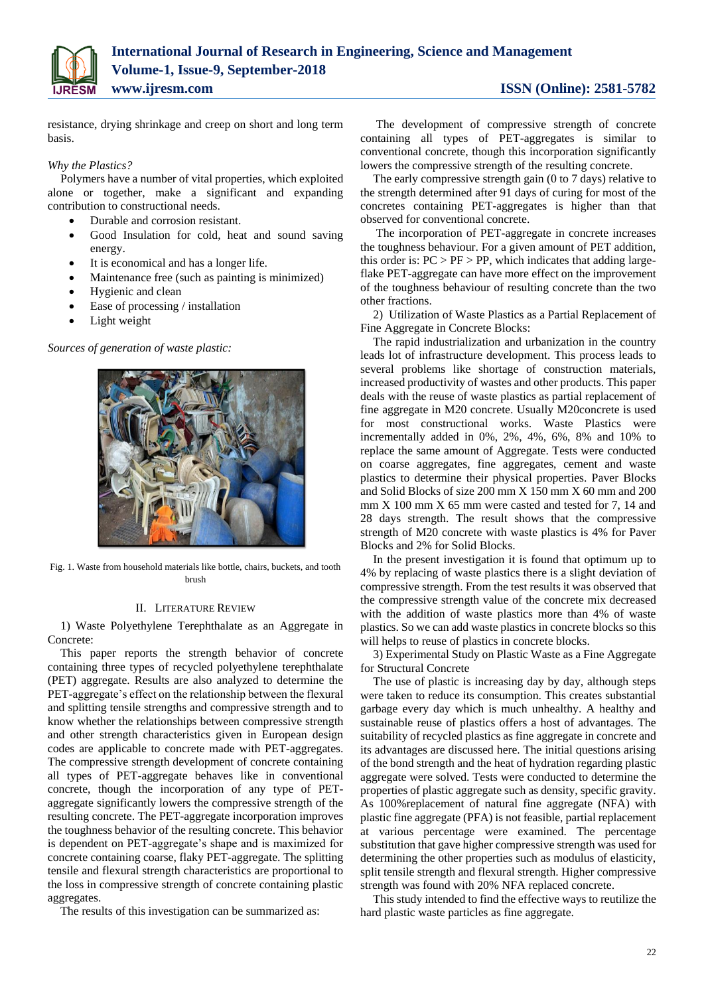

resistance, drying shrinkage and creep on short and long term basis.

#### *Why the Plastics?*

Polymers have a number of vital properties, which exploited alone or together, make a significant and expanding contribution to constructional needs.

- Durable and corrosion resistant.
- Good Insulation for cold, heat and sound saving energy.
- It is economical and has a longer life.
- Maintenance free (such as painting is minimized)
- Hygienic and clean
- Ease of processing / installation
- Light weight

*Sources of generation of waste plastic:*



Fig. 1. Waste from household materials like bottle, chairs, buckets, and tooth brush

#### II. LITERATURE REVIEW

1) Waste Polyethylene Terephthalate as an Aggregate in Concrete:

This paper reports the strength behavior of concrete containing three types of recycled polyethylene terephthalate (PET) aggregate. Results are also analyzed to determine the PET-aggregate's effect on the relationship between the flexural and splitting tensile strengths and compressive strength and to know whether the relationships between compressive strength and other strength characteristics given in European design codes are applicable to concrete made with PET-aggregates. The compressive strength development of concrete containing all types of PET-aggregate behaves like in conventional concrete, though the incorporation of any type of PETaggregate significantly lowers the compressive strength of the resulting concrete. The PET-aggregate incorporation improves the toughness behavior of the resulting concrete. This behavior is dependent on PET-aggregate's shape and is maximized for concrete containing coarse, flaky PET-aggregate. The splitting tensile and flexural strength characteristics are proportional to the loss in compressive strength of concrete containing plastic aggregates.

The results of this investigation can be summarized as:

The development of compressive strength of concrete containing all types of PET-aggregates is similar to conventional concrete, though this incorporation significantly lowers the compressive strength of the resulting concrete.

The early compressive strength gain (0 to 7 days) relative to the strength determined after 91 days of curing for most of the concretes containing PET-aggregates is higher than that observed for conventional concrete.

The incorporation of PET-aggregate in concrete increases the toughness behaviour. For a given amount of PET addition, this order is:  $PC > PF > PP$ , which indicates that adding largeflake PET-aggregate can have more effect on the improvement of the toughness behaviour of resulting concrete than the two other fractions.

2) Utilization of Waste Plastics as a Partial Replacement of Fine Aggregate in Concrete Blocks:

The rapid industrialization and urbanization in the country leads lot of infrastructure development. This process leads to several problems like shortage of construction materials, increased productivity of wastes and other products. This paper deals with the reuse of waste plastics as partial replacement of fine aggregate in M20 concrete. Usually M20concrete is used for most constructional works. Waste Plastics were incrementally added in 0%, 2%, 4%, 6%, 8% and 10% to replace the same amount of Aggregate. Tests were conducted on coarse aggregates, fine aggregates, cement and waste plastics to determine their physical properties. Paver Blocks and Solid Blocks of size 200 mm X 150 mm X 60 mm and 200 mm X 100 mm X 65 mm were casted and tested for 7, 14 and 28 days strength. The result shows that the compressive strength of M20 concrete with waste plastics is 4% for Paver Blocks and 2% for Solid Blocks.

In the present investigation it is found that optimum up to 4% by replacing of waste plastics there is a slight deviation of compressive strength. From the test results it was observed that the compressive strength value of the concrete mix decreased with the addition of waste plastics more than 4% of waste plastics. So we can add waste plastics in concrete blocks so this will helps to reuse of plastics in concrete blocks.

3) Experimental Study on Plastic Waste as a Fine Aggregate for Structural Concrete

The use of plastic is increasing day by day, although steps were taken to reduce its consumption. This creates substantial garbage every day which is much unhealthy. A healthy and sustainable reuse of plastics offers a host of advantages. The suitability of recycled plastics as fine aggregate in concrete and its advantages are discussed here. The initial questions arising of the bond strength and the heat of hydration regarding plastic aggregate were solved. Tests were conducted to determine the properties of plastic aggregate such as density, specific gravity. As 100%replacement of natural fine aggregate (NFA) with plastic fine aggregate (PFA) is not feasible, partial replacement at various percentage were examined. The percentage substitution that gave higher compressive strength was used for determining the other properties such as modulus of elasticity, split tensile strength and flexural strength. Higher compressive strength was found with 20% NFA replaced concrete.

This study intended to find the effective ways to reutilize the hard plastic waste particles as fine aggregate.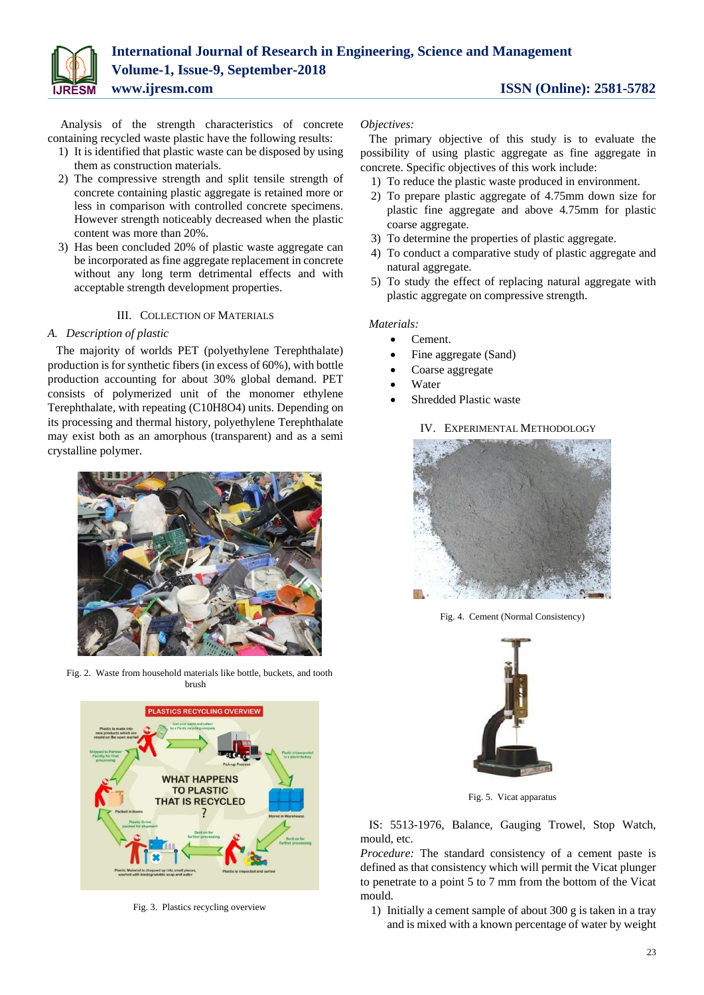

Analysis of the strength characteristics of concrete containing recycled waste plastic have the following results:

- 1) It is identified that plastic waste can be disposed by using them as construction materials.
- 2) The compressive strength and split tensile strength of concrete containing plastic aggregate is retained more or less in comparison with controlled concrete specimens. However strength noticeably decreased when the plastic content was more than 20%.
- 3) Has been concluded 20% of plastic waste aggregate can be incorporated as fine aggregate replacement in concrete without any long term detrimental effects and with acceptable strength development properties.

#### III. COLLECTION OF MATERIALS

# *A. Description of plastic*

The majority of worlds PET (polyethylene Terephthalate) production is for synthetic fibers (in excess of 60%), with bottle production accounting for about 30% global demand. PET consists of polymerized unit of the monomer ethylene Terephthalate, with repeating (C10H8O4) units. Depending on its processing and thermal history, polyethylene Terephthalate may exist both as an amorphous (transparent) and as a semi crystalline polymer.



Fig. 2. Waste from household materials like bottle, buckets, and tooth brush



Fig. 3. Plastics recycling overview

*Objectives:*

The primary objective of this study is to evaluate the possibility of using plastic aggregate as fine aggregate in concrete. Specific objectives of this work include:

- 1) To reduce the plastic waste produced in environment.
- 2) To prepare plastic aggregate of 4.75mm down size for plastic fine aggregate and above 4.75mm for plastic coarse aggregate.
- 3) To determine the properties of plastic aggregate.
- 4) To conduct a comparative study of plastic aggregate and natural aggregate.
- 5) To study the effect of replacing natural aggregate with plastic aggregate on compressive strength.

#### *Materials:*

- Cement.
- Fine aggregate (Sand)
- Coarse aggregate
- Water
- Shredded Plastic waste

IV. EXPERIMENTAL METHODOLOGY



Fig. 4. Cement (Normal Consistency)



Fig. 5. Vicat apparatus

IS: 5513-1976, Balance, Gauging Trowel, Stop Watch, mould, etc.

*Procedure:* The standard consistency of a cement paste is defined as that consistency which will permit the Vicat plunger to penetrate to a point 5 to 7 mm from the bottom of the Vicat mould.

1) Initially a cement sample of about 300 g is taken in a tray and is mixed with a known percentage of water by weight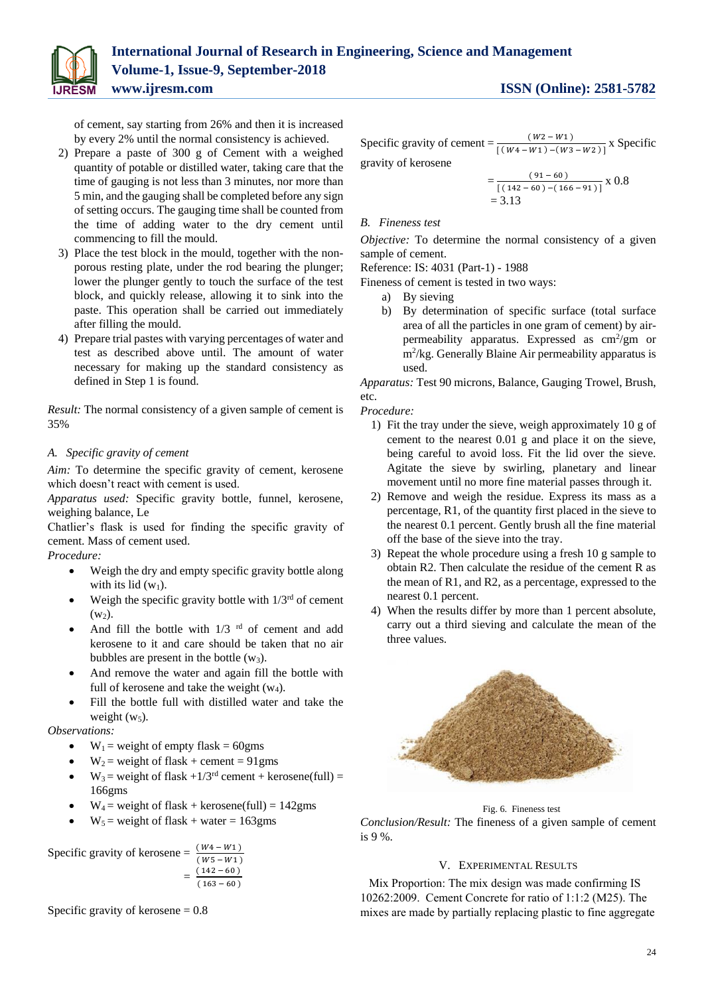

of cement, say starting from 26% and then it is increased by every 2% until the normal consistency is achieved.

- 2) Prepare a paste of 300 g of Cement with a weighed quantity of potable or distilled water, taking care that the time of gauging is not less than 3 minutes, nor more than 5 min, and the gauging shall be completed before any sign of setting occurs. The gauging time shall be counted from the time of adding water to the dry cement until commencing to fill the mould.
- 3) Place the test block in the mould, together with the nonporous resting plate, under the rod bearing the plunger; lower the plunger gently to touch the surface of the test block, and quickly release, allowing it to sink into the paste. This operation shall be carried out immediately after filling the mould.
- 4) Prepare trial pastes with varying percentages of water and test as described above until. The amount of water necessary for making up the standard consistency as defined in Step 1 is found.

*Result:* The normal consistency of a given sample of cement is 35%

# *A. Specific gravity of cement*

*Aim:* To determine the specific gravity of cement, kerosene which doesn't react with cement is used.

*Apparatus used:* Specific gravity bottle, funnel, kerosene, weighing balance, Le

Chatlier's flask is used for finding the specific gravity of cement. Mass of cement used.

*Procedure:*

- Weigh the dry and empty specific gravity bottle along with its lid  $(w_1)$ .
- Weigh the specific gravity bottle with  $1/3<sup>rd</sup>$  of cement  $(w<sub>2</sub>)$ .
- And fill the bottle with  $1/3$  <sup>rd</sup> of cement and add kerosene to it and care should be taken that no air bubbles are present in the bottle  $(w_3)$ .
- And remove the water and again fill the bottle with full of kerosene and take the weight  $(w_4)$ .
- Fill the bottle full with distilled water and take the weight  $(w_5)$ .

### *Observations:*

- $\bullet$  W<sub>1</sub> = weight of empty flask = 60gms
- $\bullet$  W<sub>2</sub> = weight of flask + cement = 91gms
- $\bullet$  W<sub>3</sub> = weight of flask +1/3<sup>rd</sup> cement + kerosene(full) = 166gms
- $W_4$  = weight of flask + kerosene(full) = 142gms
- $W_5$  = weight of flask + water = 163gms



Specific gravity of kerosene  $= 0.8$ 

Specific gravity of cement =  $\frac{(W2 - W1)}{[(W4 - W1) - (W3 - W2)]}$  x Specific

gravity of kerosene

$$
=\frac{(91-60)}{[(142-60)-(166-91)]}
$$
x 0.8  
= 3.13

# *B. Fineness test*

*Objective:* To determine the normal consistency of a given sample of cement.

Reference: IS: 4031 (Part-1) - 1988

Fineness of cement is tested in two ways:

- a) By sieving
- b) By determination of specific surface (total surface area of all the particles in one gram of cement) by airpermeability apparatus. Expressed as cm<sup>2</sup>/gm or m<sup>2</sup> /kg. Generally Blaine Air permeability apparatus is used.

*Apparatus:* Test 90 microns, Balance, Gauging Trowel, Brush, etc.

*Procedure:*

- 1) Fit the tray under the sieve, weigh approximately 10 g of cement to the nearest 0.01 g and place it on the sieve, being careful to avoid loss. Fit the lid over the sieve. Agitate the sieve by swirling, planetary and linear movement until no more fine material passes through it.
- 2) Remove and weigh the residue. Express its mass as a percentage, R1, of the quantity first placed in the sieve to the nearest 0.1 percent. Gently brush all the fine material off the base of the sieve into the tray.
- 3) Repeat the whole procedure using a fresh 10 g sample to obtain R2. Then calculate the residue of the cement R as the mean of R1, and R2, as a percentage, expressed to the nearest 0.1 percent.
- 4) When the results differ by more than 1 percent absolute, carry out a third sieving and calculate the mean of the three values.



Fig. 6. Fineness test *Conclusion/Result:* The fineness of a given sample of cement is 9 %.

### V. EXPERIMENTAL RESULTS

Mix Proportion: The mix design was made confirming IS 10262:2009. Cement Concrete for ratio of 1:1:2 (M25). The mixes are made by partially replacing plastic to fine aggregate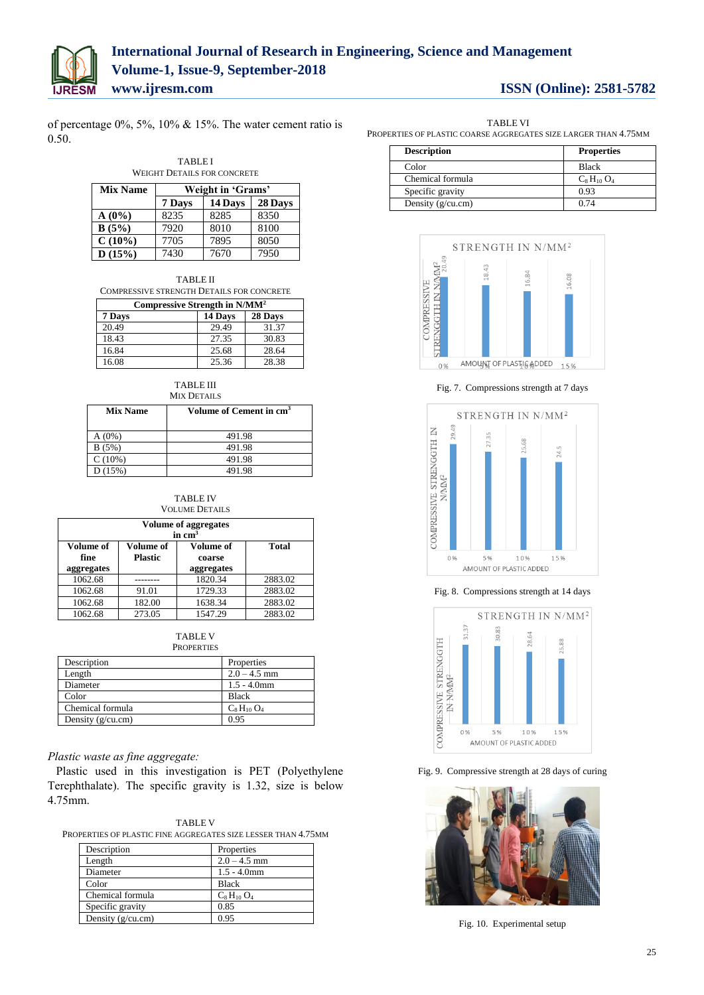

of percentage 0%, 5%, 10% & 15%. The water cement ratio is 0.50.

#### TABLE I WEIGHT DETAILS FOR CONCRETE

| <b>Mix Name</b> | Weight in 'Grams' |         |         |
|-----------------|-------------------|---------|---------|
|                 | 7 Days            | 14 Days | 28 Days |
| $A(0\%)$        | 8235              | 8285    | 8350    |
| B(5%)           | 7920              | 8010    | 8100    |
| $C(10\%)$       | 7705              | 7895    | 8050    |
| D(15%)          | 7430              | 7670    | 7950    |

| Compressive Strength in N/MM <sup>2</sup> |
|-------------------------------------------|
| COMPRESSIVE STRENGTH DETAILS FOR CONCRETE |
| <b>TABLE II</b>                           |

| Compressive Strength in IV/MIVI |         |         |
|---------------------------------|---------|---------|
| 7 Days                          | 14 Days | 28 Days |
| 20.49                           | 29.49   | 31.37   |
| 18.43                           | 27.35   | 30.83   |
| 16.84                           | 25.68   | 28.64   |
| 16.08                           | 25.36   | 28.38   |

| TABLE III          |
|--------------------|
| <b>MIX DETAILS</b> |

| <b>Mix Name</b> | Volume of Cement in cm <sup>3</sup> |  |
|-----------------|-------------------------------------|--|
| $A(0\%)$        | 491.98                              |  |
| B(5%)           | 491.98                              |  |
| C(10%)          | 491.98                              |  |
| D(15%)          | 491.98                              |  |

#### TABLE IV VOLUME DETAILS

| <b>Volume of aggregates</b><br>in $cm3$ |                             |                                   |              |
|-----------------------------------------|-----------------------------|-----------------------------------|--------------|
| Volume of<br>fine<br>aggregates         | Volume of<br><b>Plastic</b> | Volume of<br>coarse<br>aggregates | <b>Total</b> |
| 1062.68                                 |                             | 1820.34                           | 2883.02      |
| 1062.68                                 | 91.01                       | 1729.33                           | 2883.02      |
| 1062.68                                 | 182.00                      | 1638.34                           | 2883.02      |
| 1062.68                                 | 273.05                      | 1547.29                           | 2883.02      |

| TABLE V    |
|------------|
| PROPERTIES |

| Description         | Properties     |
|---------------------|----------------|
| Length              | $2.0 - 4.5$ mm |
| Diameter            | $1.5 - 4.0$ mm |
| Color               | <b>Black</b>   |
| Chemical formula    | $C_8H_{10}O_4$ |
| Density $(g/cu.cm)$ | 0.95           |

### *Plastic waste as fine aggregate:*

Plastic used in this investigation is PET (Polyethylene Terephthalate). The specific gravity is 1.32, size is below 4.75mm.

|--|

PROPERTIES OF PLASTIC FINE AGGREGATES SIZE LESSER THAN 4.75MM

| Description         | Properties     |
|---------------------|----------------|
| Length              | $2.0 - 4.5$ mm |
| Diameter            | $1.5 - 4.0$ mm |
| Color               | <b>Black</b>   |
| Chemical formula    | $C_8H_{10}O_4$ |
| Specific gravity    | 0.85           |
| Density $(g/cu.cm)$ | 0.95           |
|                     |                |

| TABLE VI                                                        |
|-----------------------------------------------------------------|
| Properties of plastic coarse aggregates size larger than 4.75mm |

| <b>Description</b>  | <b>Properties</b> |
|---------------------|-------------------|
| Color               | <b>Black</b>      |
| Chemical formula    | $C_8H_{10}O_4$    |
| Specific gravity    | 0.93              |
| Density $(g/cu.cm)$ | 0.74              |



Fig. 7. Compressions strength at 7 days



Fig. 8. Compressions strength at 14 days



Fig. 9. Compressive strength at 28 days of curing



Fig. 10. Experimental setup